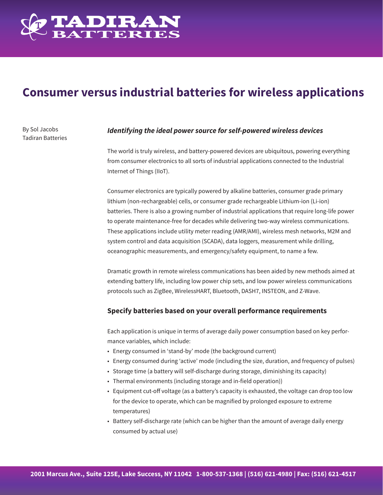

# **Consumer versus industrial batteries for wireless applications**

By Sol Jacobs Tadiran Batteries

## *Identifying the ideal power source for self-powered wireless devices*

The world is truly wireless, and battery-powered devices are ubiquitous, powering everything from consumer electronics to all sorts of industrial applications connected to the Industrial Internet of Things (IIoT).

Consumer electronics are typically powered by alkaline batteries, consumer grade primary lithium (non-rechargeable) cells, or consumer grade rechargeable Lithium-ion (Li-ion) batteries. There is also a growing number of industrial applications that require long-life power to operate maintenance-free for decades while delivering two-way wireless communications. These applications include utility meter reading (AMR/AMI), wireless mesh networks, M2M and system control and data acquisition (SCADA), data loggers, measurement while drilling, oceanographic measurements, and emergency/safety equipment, to name a few.

Dramatic growth in remote wireless communications has been aided by new methods aimed at extending battery life, including low power chip sets, and low power wireless communications protocols such as ZigBee, WirelessHART, Bluetooth, DASH7, INSTEON, and Z-Wave.

## **Specify batteries based on your overall performance requirements**

Each application is unique in terms of average daily power consumption based on key performance variables, which include:

- Energy consumed in 'stand-by' mode (the background current)
- Energy consumed during 'active' mode (including the size, duration, and frequency of pulses)
- Storage time (a battery will self-discharge during storage, diminishing its capacity)
- Thermal environments (including storage and in-field operation))
- Equipment cut-off voltage (as a battery's capacity is exhausted, the voltage can drop too low for the device to operate, which can be magnified by prolonged exposure to extreme temperatures)
- Battery self-discharge rate (which can be higher than the amount of average daily energy consumed by actual use)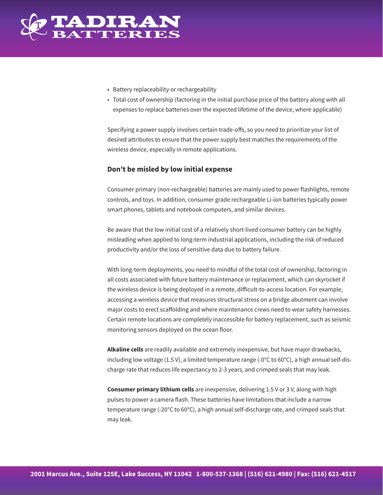

- Battery replaceability or rechargeability
- Total cost of ownership (factoring in the initial purchase price of the battery along with all expenses to replace batteries over the expected lifetime of the device, where applicable)

Specifying a power supply involves certain trade-offs, so you need to prioritize your list of desired attributes to ensure that the power supply best matches the requirements of the wireless device, especially in remote applications.

#### **Don't be misled by low initial expense**

Consumer primary (non-rechargeable) batteries are mainly used to power flashlights, remote controls, and toys. In addition, consumer grade rechargeable Li-ion batteries typically power smart phones, tablets and notebook computers, and similar devices.

Be aware that the low initial cost of a relatively short-lived consumer battery can be highly misleading when applied to long-term industrial applications, including the risk of reduced productivity and/or the loss of sensitive data due to battery failure.

With long-term deployments, you need to mindful of the total cost of ownership, factoring in all costs associated with future battery maintenance or replacement, which can skyrocket if the wireless device is being deployed in a remote, difficult-to-access location. For example, accessing a wireless device that measures structural stress on a bridge abutment can involve major costs to erect scaffolding and where maintenance crews need to wear safety harnesses. Certain remote locations are completely inaccessible for battery replacement, such as seismic monitoring sensors deployed on the ocean floor.

**Alkaline cells** are readily available and extremely inexpensive, but have major drawbacks, including low voltage (1.5 V), a limited temperature range (-0°C to 60°C), a high annual self-discharge rate that reduces life expectancy to 2-3 years, and crimped seals that may leak.

**Consumer primary lithium cells** are inexpensive, delivering 1.5 V or 3 V, along with high pulses to power a camera flash. These batteries have limitations that include a narrow temperature range (-20°C to 60°C), a high annual self-discharge rate, and crimped seals that may leak.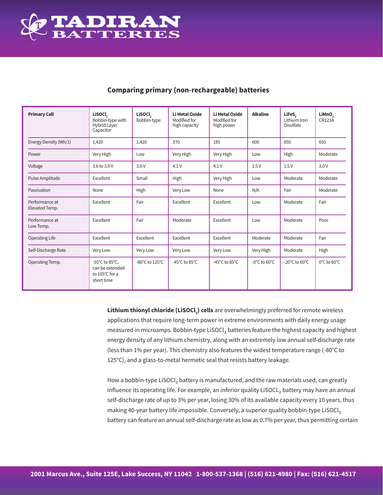

| <b>Primary Cell</b>              | <b>Lisocl</b><br>Bobbin-type with<br><b>Hybrid Layer</b><br>Capacitor | <b>LiSOCI</b><br>Bobbin-type | <b>Li Metal Oxide</b><br>Modified for<br>high capacity | <b>Li Metal Oxide</b><br>Modified for<br>high power | <b>Alkaline</b>                   | LiFeS,<br>Lithium Iron<br><b>Disulfate</b> | LiMnO <sub>2</sub><br><b>CR123A</b> |
|----------------------------------|-----------------------------------------------------------------------|------------------------------|--------------------------------------------------------|-----------------------------------------------------|-----------------------------------|--------------------------------------------|-------------------------------------|
| Energy Density (Wh/1)            | 1,420                                                                 | 1,420                        | 370                                                    | 185                                                 | 600                               | 650                                        | 650                                 |
| Power                            | Very High                                                             | Low                          | Very High                                              | Very High                                           | Low                               | High                                       | Moderate                            |
| Voltage                          | 3.6 to 3.9 V                                                          | 3.6V                         | 4.1V                                                   | 4.1V                                                | 1.5V                              | 1.5V                                       | 3.0V                                |
| Pulse Amplitude                  | Excellent                                                             | Small                        | High                                                   | Very High                                           | Low                               | Moderate                                   | Moderate                            |
| Passivation                      | None                                                                  | High                         | Very Low                                               | None                                                | N/A                               | Fair                                       | Moderate                            |
| Performance at<br>Elevated Temp. | Excellent                                                             | Fair                         | Excellent                                              | Excellent                                           | Low                               | Moderate                                   | Fair                                |
| Performance at<br>Low Temp.      | Excellent                                                             | Fair                         | Moderate                                               | Excellent                                           | Low                               | Moderate                                   | Poor                                |
| <b>Operating Life</b>            | Excellent                                                             | Excellent                    | Excellent                                              | Excellent                                           | Moderate                          | Moderate                                   | Fair                                |
| Self-Discharge Rate              | Very Low                                                              | Very Low                     | Very Low                                               | Very Low                                            | Very High                         | Moderate                                   | High                                |
| Operating Temp.                  | -55°C to 85°C,<br>can be extended<br>to 105°C for a<br>short time     | -80°C to 125°C               | -45°C to 85°C                                          | -45 $^{\circ}$ C to 85 $^{\circ}$ C                 | $-0^{\circ}$ C to 60 $^{\circ}$ C | $-20^{\circ}$ C to 60 $^{\circ}$ C         | 0°C to 60°C                         |

## **Comparing primary (non-rechargeable) batteries**

**Lithium thionyl chloride (LiSOCl<sub>2</sub>) cells** are overwhelmingly preferred for remote wireless applications that require long-term power in extreme environments with daily energy usage measured in microamps. Bobbin-type LiSOCl<sub>2</sub> batteries feature the highest capacity and highest energy density of any lithium chemistry, along with an extremely low annual self-discharge rate (less than 1% per year). This chemistry also features the widest temperature range (-80°C to 125°C), and a glass-to-metal hermetic seal that resists battery leakage.

How a bobbin-type LiSOCl<sub>2</sub> battery is manufactured, and the raw materials used, can greatly influence its operating life. For example, an inferior quality LiSOCL<sub>2</sub> battery may have an annual self-discharge rate of up to 3% per year, losing 30% of its available capacity every 10 years, thus making 40-year battery life impossible. Conversely, a superior quality bobbin-type LiSOCl<sub>2</sub> battery can feature an annual self-discharge rate as low as 0.7% per year, thus permitting certain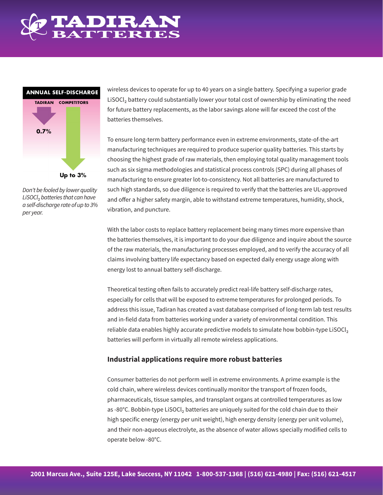



*Don't be fooled by lower quality LiSOCl*₂ *batteries that can have a self-discharge rate of up to 3% per year.*

wireless devices to operate for up to 40 years on a single battery. Specifying a superior grade LiSOCl₂ battery could substantially lower your total cost of ownership by eliminating the need for future battery replacements, as the labor savings alone will far exceed the cost of the batteries themselves.

To ensure long-term battery performance even in extreme environments, state-of-the-art manufacturing techniques are required to produce superior quality batteries. This starts by choosing the highest grade of raw materials, then employing total quality management tools such as six sigma methodologies and statistical process controls (SPC) during all phases of manufacturing to ensure greater lot-to-consistency. Not all batteries are manufactured to such high standards, so due diligence is required to verify that the batteries are UL-approved and offer a higher safety margin, able to withstand extreme temperatures, humidity, shock, vibration, and puncture.

With the labor costs to replace battery replacement being many times more expensive than the batteries themselves, it is important to do your due diligence and inquire about the source of the raw materials, the manufacturing processes employed, and to verify the accuracy of all claims involving battery life expectancy based on expected daily energy usage along with energy lost to annual battery self-discharge.

Theoretical testing often fails to accurately predict real-life battery self-discharge rates, especially for cells that will be exposed to extreme temperatures for prolonged periods. To address this issue, Tadiran has created a vast database comprised of long-term lab test results and in-field data from batteries working under a variety of environmental condition. This reliable data enables highly accurate predictive models to simulate how bobbin-type LiSOCl<sub>2</sub> batteries will perform in virtually all remote wireless applications.

## **Industrial applications require more robust batteries**

Consumer batteries do not perform well in extreme environments. A prime example is the cold chain, where wireless devices continually monitor the transport of frozen foods, pharmaceuticals, tissue samples, and transplant organs at controlled temperatures as low as -80°C. Bobbin-type LiSOCl<sub>2</sub> batteries are uniquely suited for the cold chain due to their high specific energy (energy per unit weight), high energy density (energy per unit volume), and their non-aqueous electrolyte, as the absence of water allows specially modified cells to operate below -80°C.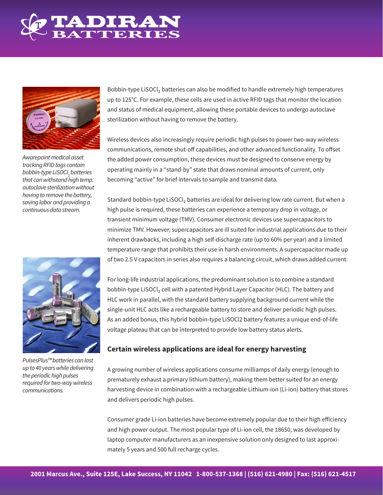



*Awarepoint medical asset tracking RFID tags contain bobbin-type LiSOCl2 batteries that can withstand high temp. autoclave sterilization without having to remove the battery, saving labor and providing a continuous data stream.*



*PulsesPlus™ batteries can last up to 40 years while delivering the periodic high pulses required for two-way wireless communications.*

Bobbin-type LiSOCl₂ batteries can also be modified to handle extremely high temperatures up to 125°C. For example, these cells are used in active RFID tags that monitor the location and status of medical equipment, allowing these portable devices to undergo autoclave sterilization without having to remove the battery.

Wireless devices also increasingly require periodic high pulses to power two-way wireless communications, remote shut-off capabilities, and other advanced functionality. To offset the added power consumption, these devices must be designed to conserve energy by operating mainly in a "stand-by" state that draws nominal amounts of current, only becoming "active" for brief intervals to sample and transmit data.

Standard bobbin-type LiSOCl<sub>2</sub> batteries are ideal for delivering low rate current. But when a high pulse is required, these batteries can experience a temporary drop in voltage, or transient minimum voltage (TMV). Consumer electronic devices use supercapacitors to minimize TMV. However, supercapacitors are ill suited for industrial applications due to their inherent drawbacks, including a high self-discharge rate (up to 60% per year) and a limited temperature range that prohibits their use in harsh environments. A supercapacitor made up of two 2.5 V capacitors in series also requires a balancing circuit, which draws added current.

For long-life industrial applications, the predominant solution is to combine a standard bobbin-type LiSOCl, cell with a patented Hybrid Layer Capacitor (HLC). The battery and HLC work in parallel, with the standard battery supplying background current while the single-unit HLC acts like a rechargeable battery to store and deliver periodic high pulses. As an added bonus, this hybrid bobbin-type LiSOCl2 battery features a unique end-of-life voltage plateau that can be interpreted to provide low battery status alerts.

## **Certain wireless applications are ideal for energy harvesting**

A growing number of wireless applications consume milliamps of daily energy (enough to prematurely exhaust a primary lithium battery), making them better suited for an energy harvesting device in combination with a rechargeable Lithium-ion (Li-ion) battery that stores and delivers periodic high pulses.

Consumer grade Li-ion batteries have become extremely popular due to their high efficiency and high power output. The most popular type of Li-ion cell, the 18650, was developed by laptop computer manufacturers as an inexpensive solution only designed to last approximately 5 years and 500 full recharge cycles.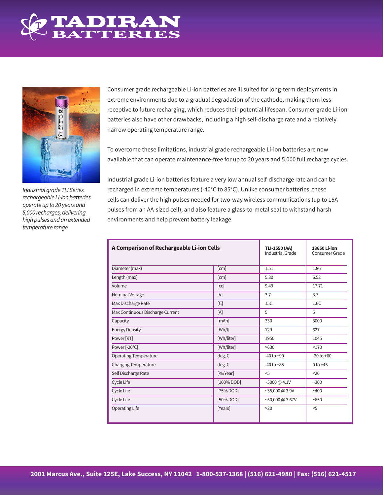



*Industrial grade TLI Series rechargeable Li-ion batteries operate up to 20 years and 5,000 recharges, delivering high pulses and an extended temperature range.*

Consumer grade rechargeable Li-ion batteries are ill suited for long-term deployments in extreme environments due to a gradual degradation of the cathode, making them less receptive to future recharging, which reduces their potential lifespan. Consumer grade Li-ion batteries also have other drawbacks, including a high self-discharge rate and a relatively narrow operating temperature range.

To overcome these limitations, industrial grade rechargeable Li-ion batteries are now available that can operate maintenance-free for up to 20 years and 5,000 full recharge cycles.

Industrial grade Li-ion batteries feature a very low annual self-discharge rate and can be recharged in extreme temperatures (-40°C to 85°C). Unlike consumer batteries, these cells can deliver the high pulses needed for two-way wireless communications (up to 15A pulses from an AA-sized cell), and also feature a glass-to-metal seal to withstand harsh environments and help prevent battery leakage.

| A Comparison of Rechargeable Li-ion Cells | <b>TLI-1550 (AA)</b><br>Industrial Grade | 18650 Li-ion<br>Consumer Grade |                |
|-------------------------------------------|------------------------------------------|--------------------------------|----------------|
| Diameter (max)                            | [cm]                                     | 1.51                           | 1.86           |
| Length (max)                              | [cm]                                     | 5.30                           | 6.52           |
| Volume                                    | [cc]                                     | 9.49                           | 17.71          |
| Nominal Voltage                           | [V]                                      | 3.7                            | 3.7            |
| Max Discharge Rate                        | [C]                                      | 15C                            | 1.6C           |
| Max Continuous Discharge Current          | [A]                                      | 5                              | 5              |
| Capacity                                  | [mAh]                                    | 330                            | 3000           |
| <b>Energy Density</b>                     | [Wh/l]                                   | 129                            | 627            |
| Power [RT]                                | [Wh/liter]                               | 1950                           | 1045           |
| Power [-20°C]                             | [Wh/liter]                               | >630                           | <170           |
| <b>Operating Temperature</b>              | deg. C                                   | $-40$ to $+90$                 | $-20$ to $+60$ |
| <b>Charging Temperature</b>               | deg. C                                   | $-40$ to $+85$                 | $0$ to $+45$   |
| Self Discharge Rate                       | [%/Year]                                 | 5                              | 20             |
| Cycle Life                                | $[100\%$ DOD]                            | $~5000 \text{ (a 4.1V)}$       | ~100           |
| Cycle Life                                | [75% DOD]                                | $~25,000 \text{ (a)} 3.9V$     | ~100           |
| Cycle Life                                | [50% DOD]                                | $~50,000 \text{ (a)} 3.67V$    | ~5650          |
| Operating Life                            | [Years]                                  | >20                            | $<$ 5          |